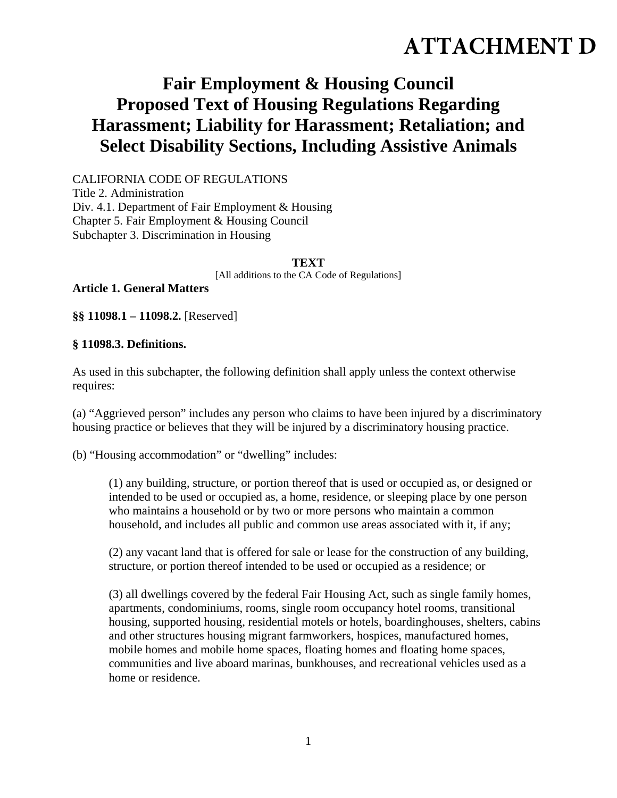# **ATTACHMENT D**

# **Fair Employment & Housing Council Proposed Text of Housing Regulations Regarding Harassment; Liability for Harassment; Retaliation; and Select Disability Sections, Including Assistive Animals**

CALIFORNIA CODE OF REGULATIONS Title 2. Administration Div. 4.1. Department of Fair Employment & Housing Chapter 5. Fair Employment & Housing Council Subchapter 3. Discrimination in Housing

#### **TEXT**

[All additions to the CA Code of Regulations]

**Article 1. General Matters** 

**§§ 11098.1 – 11098.2.** [Reserved]

#### **§ 11098.3. Definitions.**

As used in this subchapter, the following definition shall apply unless the context otherwise requires:

(a) "Aggrieved person" includes any person who claims to have been injured by a discriminatory housing practice or believes that they will be injured by a discriminatory housing practice.

(b) "Housing accommodation" or "dwelling" includes:

(1) any building, structure, or portion thereof that is used or occupied as, or designed or intended to be used or occupied as, a home, residence, or sleeping place by one person who maintains a household or by two or more persons who maintain a common household, and includes all public and common use areas associated with it, if any;

(2) any vacant land that is offered for sale or lease for the construction of any building, structure, or portion thereof intended to be used or occupied as a residence; or

(3) all dwellings covered by the federal Fair Housing Act, such as single family homes, apartments, condominiums, rooms, single room occupancy hotel rooms, transitional housing, supported housing, residential motels or hotels, boardinghouses, shelters, cabins and other structures housing migrant farmworkers, hospices, manufactured homes, mobile homes and mobile home spaces, floating homes and floating home spaces, communities and live aboard marinas, bunkhouses, and recreational vehicles used as a home or residence.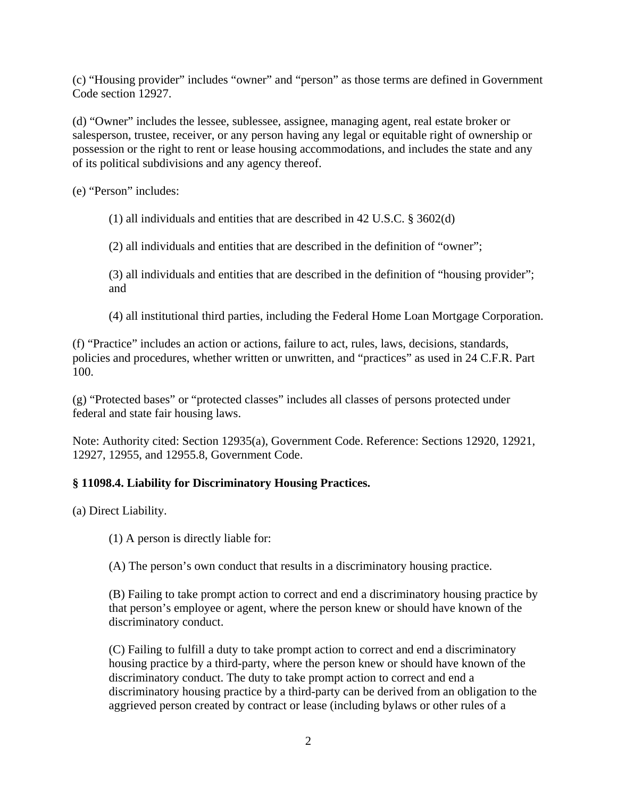(c) "Housing provider" includes "owner" and "person" as those terms are defined in Government Code section 12927.

(d) "Owner" includes the lessee, sublessee, assignee, managing agent, real estate broker or salesperson, trustee, receiver, or any person having any legal or equitable right of ownership or possession or the right to rent or lease housing accommodations, and includes the state and any of its political subdivisions and any agency thereof.

(e) "Person" includes:

(1) all individuals and entities that are described in 42 U.S.C. § 3602(d)

(2) all individuals and entities that are described in the definition of "owner";

(3) all individuals and entities that are described in the definition of "housing provider"; and

(4) all institutional third parties, including the Federal Home Loan Mortgage Corporation.

(f) "Practice" includes an action or actions, failure to act, rules, laws, decisions, standards, policies and procedures, whether written or unwritten, and "practices" as used in 24 C.F.R. Part 100.

(g) "Protected bases" or "protected classes" includes all classes of persons protected under federal and state fair housing laws.

Note: Authority cited: Section 12935(a), Government Code. Reference: Sections 12920, 12921, 12927, 12955, and 12955.8, Government Code.

# **§ 11098.4. Liability for Discriminatory Housing Practices.**

(a) Direct Liability.

(1) A person is directly liable for:

(A) The person's own conduct that results in a discriminatory housing practice.

(B) Failing to take prompt action to correct and end a discriminatory housing practice by that person's employee or agent, where the person knew or should have known of the discriminatory conduct.

(C) Failing to fulfill a duty to take prompt action to correct and end a discriminatory housing practice by a third-party, where the person knew or should have known of the discriminatory conduct. The duty to take prompt action to correct and end a discriminatory housing practice by a third-party can be derived from an obligation to the aggrieved person created by contract or lease (including bylaws or other rules of a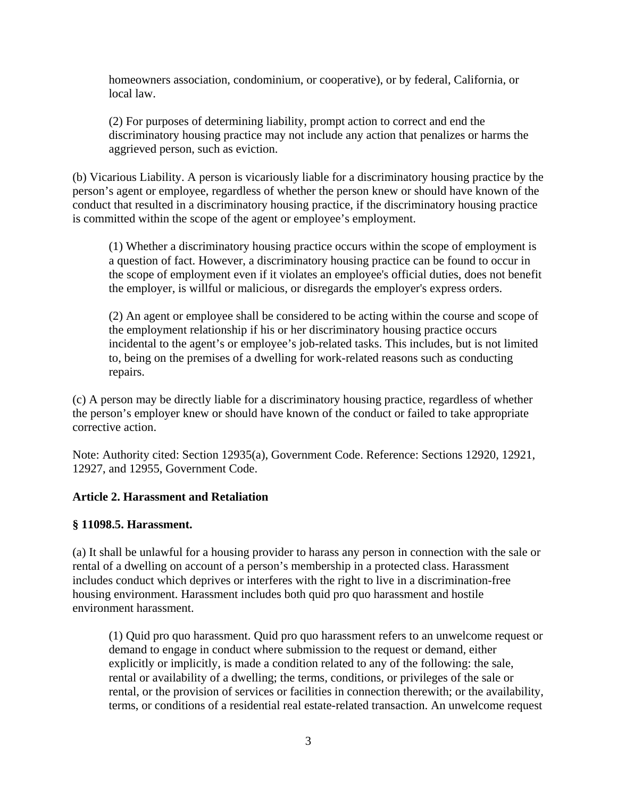homeowners association, condominium, or cooperative), or by federal, California, or local law.

(2) For purposes of determining liability, prompt action to correct and end the discriminatory housing practice may not include any action that penalizes or harms the aggrieved person, such as eviction.

(b) Vicarious Liability. A person is vicariously liable for a discriminatory housing practice by the person's agent or employee, regardless of whether the person knew or should have known of the conduct that resulted in a discriminatory housing practice, if the discriminatory housing practice is committed within the scope of the agent or employee's employment.

(1) Whether a discriminatory housing practice occurs within the scope of employment is a question of fact. However, a discriminatory housing practice can be found to occur in the scope of employment even if it violates an employee's official duties, does not benefit the employer, is willful or malicious, or disregards the employer's express orders.

(2) An agent or employee shall be considered to be acting within the course and scope of the employment relationship if his or her discriminatory housing practice occurs incidental to the agent's or employee's job-related tasks. This includes, but is not limited to, being on the premises of a dwelling for work-related reasons such as conducting repairs.

(c) A person may be directly liable for a discriminatory housing practice, regardless of whether the person's employer knew or should have known of the conduct or failed to take appropriate corrective action.

Note: Authority cited: Section 12935(a), Government Code. Reference: Sections 12920, 12921, 12927, and 12955, Government Code.

# **Article 2. Harassment and Retaliation**

#### **§ 11098.5. Harassment.**

(a) It shall be unlawful for a housing provider to harass any person in connection with the sale or rental of a dwelling on account of a person's membership in a protected class. Harassment includes conduct which deprives or interferes with the right to live in a discrimination-free housing environment. Harassment includes both quid pro quo harassment and hostile environment harassment.

(1) Quid pro quo harassment. Quid pro quo harassment refers to an unwelcome request or demand to engage in conduct where submission to the request or demand, either explicitly or implicitly, is made a condition related to any of the following: the sale, rental or availability of a dwelling; the terms, conditions, or privileges of the sale or rental, or the provision of services or facilities in connection therewith; or the availability, terms, or conditions of a residential real estate-related transaction. An unwelcome request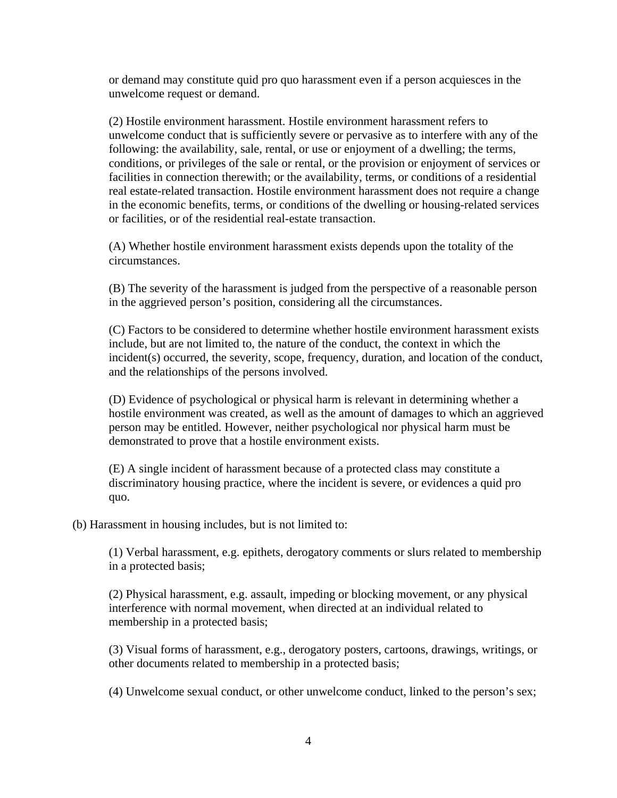or demand may constitute quid pro quo harassment even if a person acquiesces in the unwelcome request or demand.

(2) Hostile environment harassment. Hostile environment harassment refers to unwelcome conduct that is sufficiently severe or pervasive as to interfere with any of the following: the availability, sale, rental, or use or enjoyment of a dwelling; the terms, conditions, or privileges of the sale or rental, or the provision or enjoyment of services or facilities in connection therewith; or the availability, terms, or conditions of a residential real estate-related transaction. Hostile environment harassment does not require a change in the economic benefits, terms, or conditions of the dwelling or housing-related services or facilities, or of the residential real-estate transaction.

(A) Whether hostile environment harassment exists depends upon the totality of the circumstances.

(B) The severity of the harassment is judged from the perspective of a reasonable person in the aggrieved person's position, considering all the circumstances.

(C) Factors to be considered to determine whether hostile environment harassment exists include, but are not limited to, the nature of the conduct, the context in which the incident(s) occurred, the severity, scope, frequency, duration, and location of the conduct, and the relationships of the persons involved.

(D) Evidence of psychological or physical harm is relevant in determining whether a hostile environment was created, as well as the amount of damages to which an aggrieved person may be entitled. However, neither psychological nor physical harm must be demonstrated to prove that a hostile environment exists.

(E) A single incident of harassment because of a protected class may constitute a discriminatory housing practice, where the incident is severe, or evidences a quid pro quo.

(b) Harassment in housing includes, but is not limited to:

(1) Verbal harassment, e.g. epithets, derogatory comments or slurs related to membership in a protected basis;

(2) Physical harassment, e.g. assault, impeding or blocking movement, or any physical interference with normal movement, when directed at an individual related to membership in a protected basis;

(3) Visual forms of harassment, e.g., derogatory posters, cartoons, drawings, writings, or other documents related to membership in a protected basis;

(4) Unwelcome sexual conduct, or other unwelcome conduct, linked to the person's sex;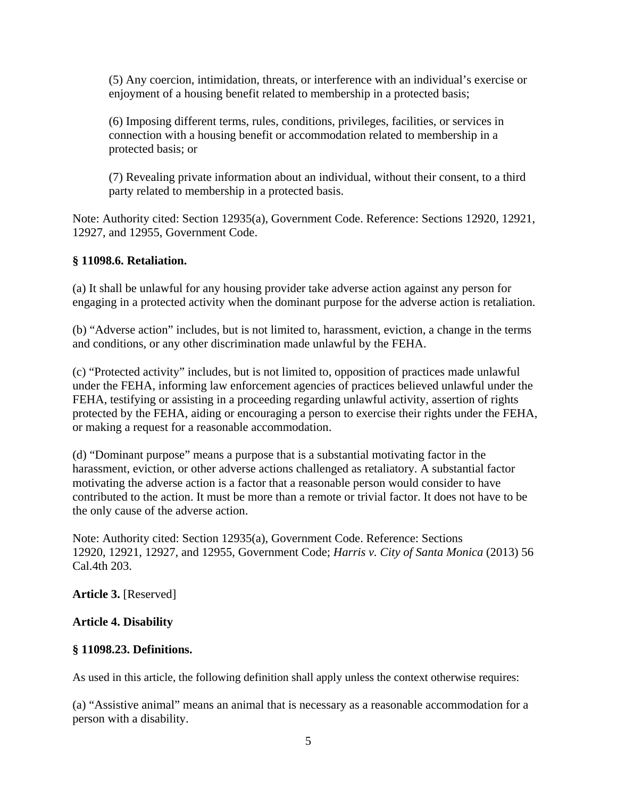(5) Any coercion, intimidation, threats, or interference with an individual's exercise or enjoyment of a housing benefit related to membership in a protected basis;

(6) Imposing different terms, rules, conditions, privileges, facilities, or services in connection with a housing benefit or accommodation related to membership in a protected basis; or

(7) Revealing private information about an individual, without their consent, to a third party related to membership in a protected basis.

Note: Authority cited: Section 12935(a), Government Code. Reference: Sections 12920, 12921, 12927, and 12955, Government Code.

#### **§ 11098.6. Retaliation.**

(a) It shall be unlawful for any housing provider take adverse action against any person for engaging in a protected activity when the dominant purpose for the adverse action is retaliation.

(b) "Adverse action" includes, but is not limited to, harassment, eviction, a change in the terms and conditions, or any other discrimination made unlawful by the FEHA.

(c) "Protected activity" includes, but is not limited to, opposition of practices made unlawful under the FEHA, informing law enforcement agencies of practices believed unlawful under the FEHA, testifying or assisting in a proceeding regarding unlawful activity, assertion of rights protected by the FEHA, aiding or encouraging a person to exercise their rights under the FEHA, or making a request for a reasonable accommodation.

(d) "Dominant purpose" means a purpose that is a substantial motivating factor in the harassment, eviction, or other adverse actions challenged as retaliatory. A substantial factor motivating the adverse action is a factor that a reasonable person would consider to have contributed to the action. It must be more than a remote or trivial factor. It does not have to be the only cause of the adverse action.

Note: Authority cited: Section 12935(a), Government Code. Reference: Sections 12920, 12921, 12927, and 12955, Government Code; *Harris v. City of Santa Monica* (2013) 56 Cal.4th 203.

**Article 3.** [Reserved]

#### **Article 4. Disability**

#### **§ 11098.23. Definitions.**

As used in this article, the following definition shall apply unless the context otherwise requires:

(a) "Assistive animal" means an animal that is necessary as a reasonable accommodation for a person with a disability.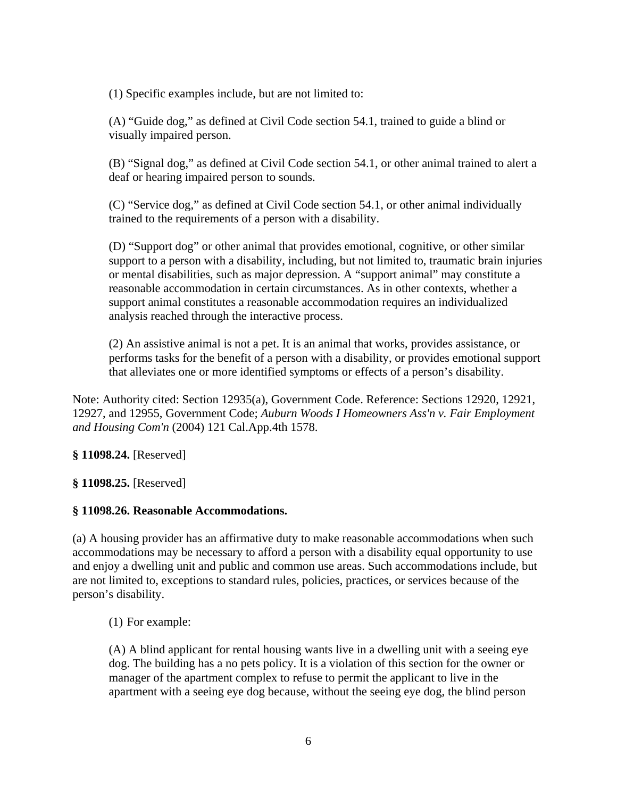(1) Specific examples include, but are not limited to:

(A) "Guide dog," as defined at Civil Code section 54.1, trained to guide a blind or visually impaired person.

(B) "Signal dog," as defined at Civil Code section 54.1, or other animal trained to alert a deaf or hearing impaired person to sounds.

(C) "Service dog," as defined at Civil Code section 54.1, or other animal individually trained to the requirements of a person with a disability.

(D) "Support dog" or other animal that provides emotional, cognitive, or other similar support to a person with a disability, including, but not limited to, traumatic brain injuries or mental disabilities, such as major depression. A "support animal" may constitute a reasonable accommodation in certain circumstances. As in other contexts, whether a support animal constitutes a reasonable accommodation requires an individualized analysis reached through the interactive process.

(2) An assistive animal is not a pet. It is an animal that works, provides assistance, or performs tasks for the benefit of a person with a disability, or provides emotional support that alleviates one or more identified symptoms or effects of a person's disability.

Note: Authority cited: Section 12935(a), Government Code. Reference: Sections 12920, 12921, 12927, and 12955, Government Code; *Auburn Woods I Homeowners Ass'n v. Fair Employment and Housing Com'n* (2004) 121 Cal.App.4th 1578.

**§ 11098.24.** [Reserved]

**§ 11098.25.** [Reserved]

#### **§ 11098.26. Reasonable Accommodations.**

(a) A housing provider has an affirmative duty to make reasonable accommodations when such accommodations may be necessary to afford a person with a disability equal opportunity to use and enjoy a dwelling unit and public and common use areas. Such accommodations include, but are not limited to, exceptions to standard rules, policies, practices, or services because of the person's disability.

(1) For example:

(A) A blind applicant for rental housing wants live in a dwelling unit with a seeing eye dog. The building has a no pets policy. It is a violation of this section for the owner or manager of the apartment complex to refuse to permit the applicant to live in the apartment with a seeing eye dog because, without the seeing eye dog, the blind person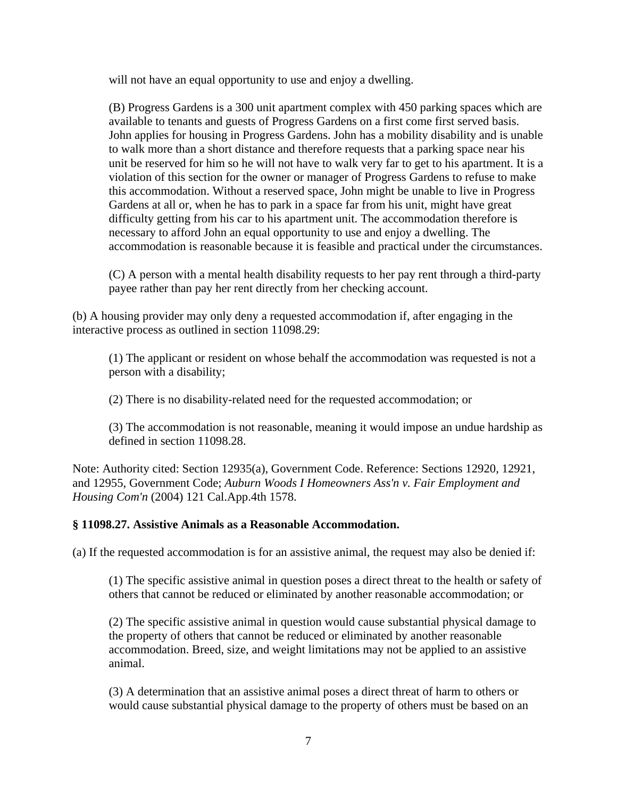will not have an equal opportunity to use and enjoy a dwelling.

(B) Progress Gardens is a 300 unit apartment complex with 450 parking spaces which are available to tenants and guests of Progress Gardens on a first come first served basis. John applies for housing in Progress Gardens. John has a mobility disability and is unable to walk more than a short distance and therefore requests that a parking space near his unit be reserved for him so he will not have to walk very far to get to his apartment. It is a violation of this section for the owner or manager of Progress Gardens to refuse to make this accommodation. Without a reserved space, John might be unable to live in Progress Gardens at all or, when he has to park in a space far from his unit, might have great difficulty getting from his car to his apartment unit. The accommodation therefore is necessary to afford John an equal opportunity to use and enjoy a dwelling. The accommodation is reasonable because it is feasible and practical under the circumstances.

(C) A person with a mental health disability requests to her pay rent through a third-party payee rather than pay her rent directly from her checking account.

(b) A housing provider may only deny a requested accommodation if, after engaging in the interactive process as outlined in section 11098.29:

(1) The applicant or resident on whose behalf the accommodation was requested is not a person with a disability;

(2) There is no disability-related need for the requested accommodation; or

(3) The accommodation is not reasonable, meaning it would impose an undue hardship as defined in section 11098.28.

Note: Authority cited: Section 12935(a), Government Code. Reference: Sections 12920, 12921, and 12955, Government Code; *Auburn Woods I Homeowners Ass'n v. Fair Employment and Housing Com'n* (2004) 121 Cal.App.4th 1578.

#### **§ 11098.27. Assistive Animals as a Reasonable Accommodation.**

(a) If the requested accommodation is for an assistive animal, the request may also be denied if:

(1) The specific assistive animal in question poses a direct threat to the health or safety of others that cannot be reduced or eliminated by another reasonable accommodation; or

(2) The specific assistive animal in question would cause substantial physical damage to the property of others that cannot be reduced or eliminated by another reasonable accommodation. Breed, size, and weight limitations may not be applied to an assistive animal.

(3) A determination that an assistive animal poses a direct threat of harm to others or would cause substantial physical damage to the property of others must be based on an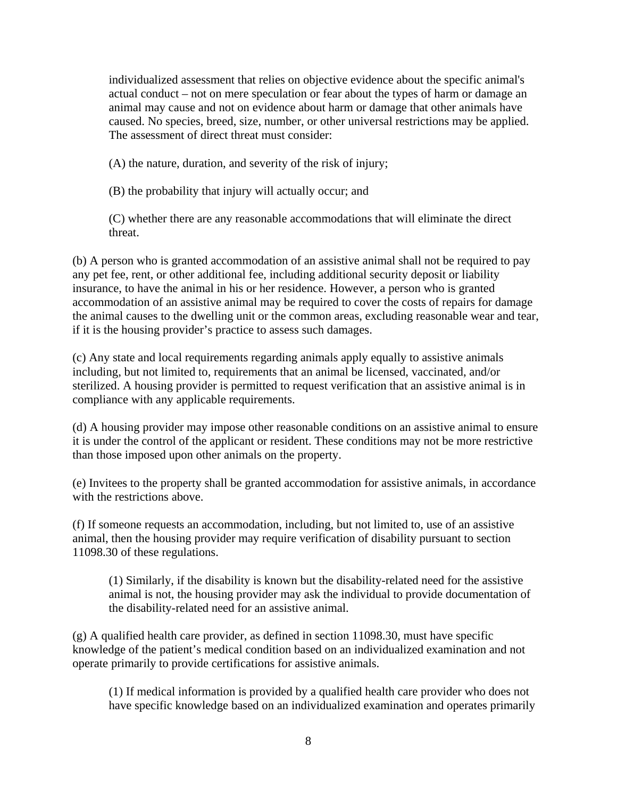individualized assessment that relies on objective evidence about the specific animal's actual conduct – not on mere speculation or fear about the types of harm or damage an animal may cause and not on evidence about harm or damage that other animals have caused. No species, breed, size, number, or other universal restrictions may be applied. The assessment of direct threat must consider:

(A) the nature, duration, and severity of the risk of injury;

(B) the probability that injury will actually occur; and

(C) whether there are any reasonable accommodations that will eliminate the direct threat.

(b) A person who is granted accommodation of an assistive animal shall not be required to pay any pet fee, rent, or other additional fee, including additional security deposit or liability insurance, to have the animal in his or her residence. However, a person who is granted accommodation of an assistive animal may be required to cover the costs of repairs for damage the animal causes to the dwelling unit or the common areas, excluding reasonable wear and tear, if it is the housing provider's practice to assess such damages.

(c) Any state and local requirements regarding animals apply equally to assistive animals including, but not limited to, requirements that an animal be licensed, vaccinated, and/or sterilized. A housing provider is permitted to request verification that an assistive animal is in compliance with any applicable requirements.

(d) A housing provider may impose other reasonable conditions on an assistive animal to ensure it is under the control of the applicant or resident. These conditions may not be more restrictive than those imposed upon other animals on the property.

(e) Invitees to the property shall be granted accommodation for assistive animals, in accordance with the restrictions above.

(f) If someone requests an accommodation, including, but not limited to, use of an assistive animal, then the housing provider may require verification of disability pursuant to section 11098.30 of these regulations.

(1) Similarly, if the disability is known but the disability-related need for the assistive animal is not, the housing provider may ask the individual to provide documentation of the disability-related need for an assistive animal.

(g) A qualified health care provider, as defined in section 11098.30, must have specific knowledge of the patient's medical condition based on an individualized examination and not operate primarily to provide certifications for assistive animals.

(1) If medical information is provided by a qualified health care provider who does not have specific knowledge based on an individualized examination and operates primarily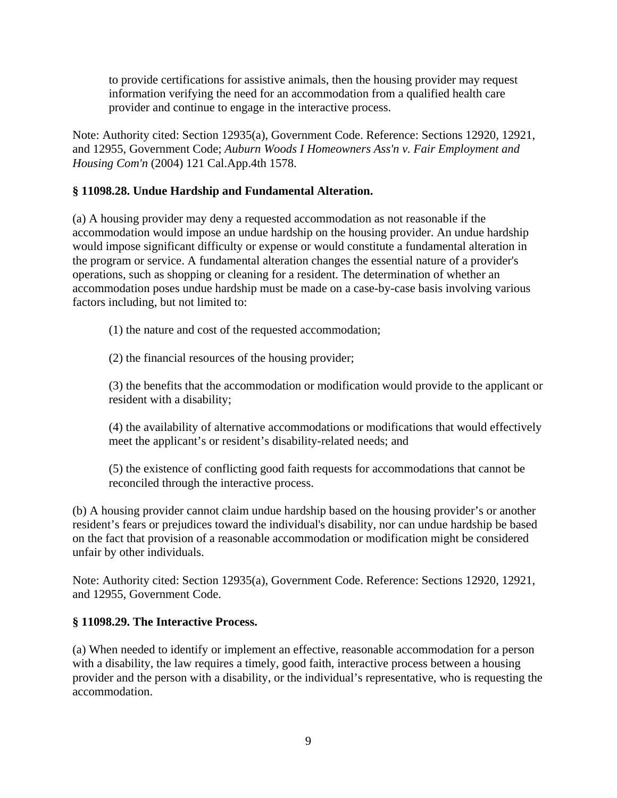to provide certifications for assistive animals, then the housing provider may request information verifying the need for an accommodation from a qualified health care provider and continue to engage in the interactive process.

Note: Authority cited: Section 12935(a), Government Code. Reference: Sections 12920, 12921, and 12955, Government Code; *Auburn Woods I Homeowners Ass'n v. Fair Employment and Housing Com'n* (2004) 121 Cal.App.4th 1578.

# **§ 11098.28. Undue Hardship and Fundamental Alteration.**

(a) A housing provider may deny a requested accommodation as not reasonable if the accommodation would impose an undue hardship on the housing provider. An undue hardship would impose significant difficulty or expense or would constitute a fundamental alteration in the program or service. A fundamental alteration changes the essential nature of a provider's operations, such as shopping or cleaning for a resident. The determination of whether an accommodation poses undue hardship must be made on a case-by-case basis involving various factors including, but not limited to:

(1) the nature and cost of the requested accommodation;

(2) the financial resources of the housing provider;

(3) the benefits that the accommodation or modification would provide to the applicant or resident with a disability;

(4) the availability of alternative accommodations or modifications that would effectively meet the applicant's or resident's disability-related needs; and

(5) the existence of conflicting good faith requests for accommodations that cannot be reconciled through the interactive process.

(b) A housing provider cannot claim undue hardship based on the housing provider's or another resident's fears or prejudices toward the individual's disability, nor can undue hardship be based on the fact that provision of a reasonable accommodation or modification might be considered unfair by other individuals.

Note: Authority cited: Section 12935(a), Government Code. Reference: Sections 12920, 12921, and 12955, Government Code.

# **§ 11098.29. The Interactive Process.**

(a) When needed to identify or implement an effective, reasonable accommodation for a person with a disability, the law requires a timely, good faith, interactive process between a housing provider and the person with a disability, or the individual's representative, who is requesting the accommodation.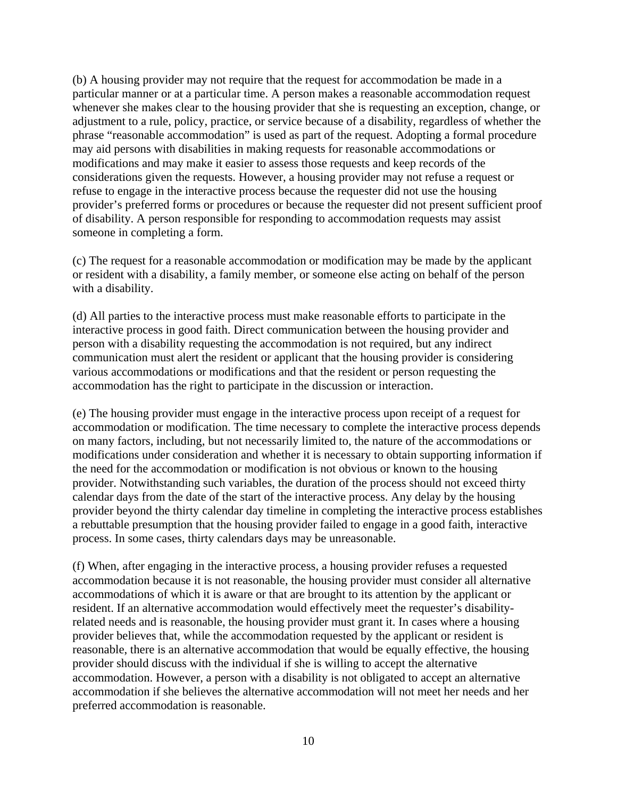(b) A housing provider may not require that the request for accommodation be made in a particular manner or at a particular time. A person makes a reasonable accommodation request whenever she makes clear to the housing provider that she is requesting an exception, change, or adjustment to a rule, policy, practice, or service because of a disability, regardless of whether the phrase "reasonable accommodation" is used as part of the request. Adopting a formal procedure may aid persons with disabilities in making requests for reasonable accommodations or modifications and may make it easier to assess those requests and keep records of the considerations given the requests. However, a housing provider may not refuse a request or refuse to engage in the interactive process because the requester did not use the housing provider's preferred forms or procedures or because the requester did not present sufficient proof of disability. A person responsible for responding to accommodation requests may assist someone in completing a form.

(c) The request for a reasonable accommodation or modification may be made by the applicant or resident with a disability, a family member, or someone else acting on behalf of the person with a disability.

(d) All parties to the interactive process must make reasonable efforts to participate in the interactive process in good faith. Direct communication between the housing provider and person with a disability requesting the accommodation is not required, but any indirect communication must alert the resident or applicant that the housing provider is considering various accommodations or modifications and that the resident or person requesting the accommodation has the right to participate in the discussion or interaction.

(e) The housing provider must engage in the interactive process upon receipt of a request for accommodation or modification. The time necessary to complete the interactive process depends on many factors, including, but not necessarily limited to, the nature of the accommodations or modifications under consideration and whether it is necessary to obtain supporting information if the need for the accommodation or modification is not obvious or known to the housing provider. Notwithstanding such variables, the duration of the process should not exceed thirty calendar days from the date of the start of the interactive process. Any delay by the housing provider beyond the thirty calendar day timeline in completing the interactive process establishes a rebuttable presumption that the housing provider failed to engage in a good faith, interactive process. In some cases, thirty calendars days may be unreasonable.

(f) When, after engaging in the interactive process, a housing provider refuses a requested accommodation because it is not reasonable, the housing provider must consider all alternative accommodations of which it is aware or that are brought to its attention by the applicant or resident. If an alternative accommodation would effectively meet the requester's disabilityrelated needs and is reasonable, the housing provider must grant it. In cases where a housing provider believes that, while the accommodation requested by the applicant or resident is reasonable, there is an alternative accommodation that would be equally effective, the housing provider should discuss with the individual if she is willing to accept the alternative accommodation. However, a person with a disability is not obligated to accept an alternative accommodation if she believes the alternative accommodation will not meet her needs and her preferred accommodation is reasonable.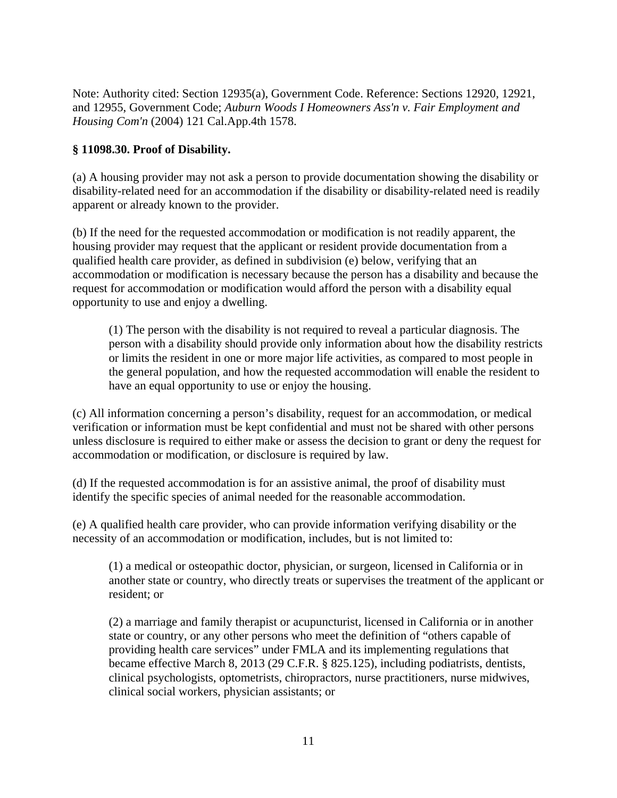Note: Authority cited: Section 12935(a), Government Code. Reference: Sections 12920, 12921, and 12955, Government Code; *Auburn Woods I Homeowners Ass'n v. Fair Employment and Housing Com'n* (2004) 121 Cal.App.4th 1578.

# **§ 11098.30. Proof of Disability.**

(a) A housing provider may not ask a person to provide documentation showing the disability or disability-related need for an accommodation if the disability or disability-related need is readily apparent or already known to the provider.

(b) If the need for the requested accommodation or modification is not readily apparent, the housing provider may request that the applicant or resident provide documentation from a qualified health care provider, as defined in subdivision (e) below, verifying that an accommodation or modification is necessary because the person has a disability and because the request for accommodation or modification would afford the person with a disability equal opportunity to use and enjoy a dwelling.

(1) The person with the disability is not required to reveal a particular diagnosis. The person with a disability should provide only information about how the disability restricts or limits the resident in one or more major life activities, as compared to most people in the general population, and how the requested accommodation will enable the resident to have an equal opportunity to use or enjoy the housing.

(c) All information concerning a person's disability, request for an accommodation, or medical verification or information must be kept confidential and must not be shared with other persons unless disclosure is required to either make or assess the decision to grant or deny the request for accommodation or modification, or disclosure is required by law.

(d) If the requested accommodation is for an assistive animal, the proof of disability must identify the specific species of animal needed for the reasonable accommodation.

(e) A qualified health care provider, who can provide information verifying disability or the necessity of an accommodation or modification, includes, but is not limited to:

(1) a medical or osteopathic doctor, physician, or surgeon, licensed in California or in another state or country, who directly treats or supervises the treatment of the applicant or resident; or

(2) a marriage and family therapist or acupuncturist, licensed in California or in another state or country, or any other persons who meet the definition of "others capable of providing health care services" under FMLA and its implementing regulations that became effective March 8, 2013 (29 C.F.R. § 825.125), including podiatrists, dentists, clinical psychologists, optometrists, chiropractors, nurse practitioners, nurse midwives, clinical social workers, physician assistants; or